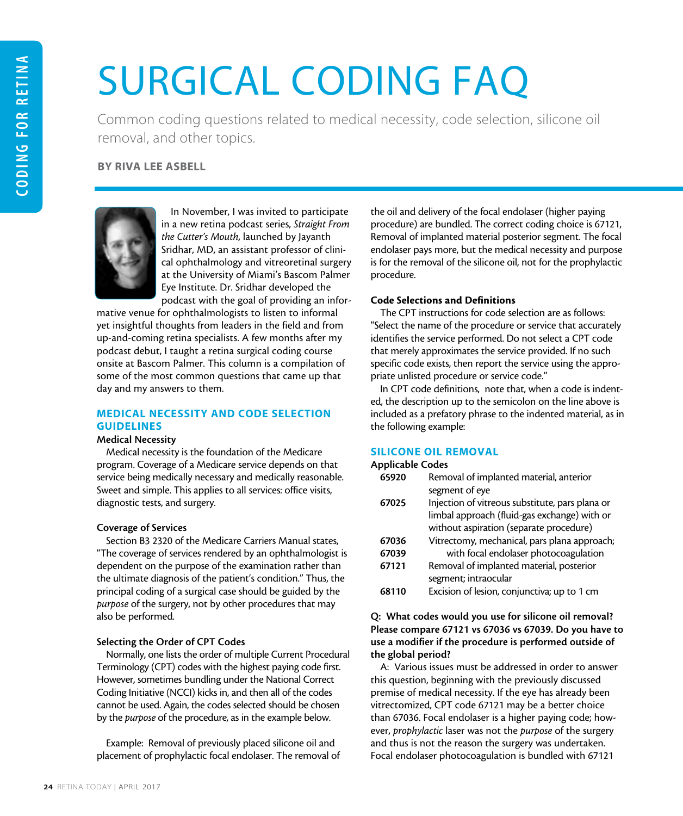# SURGICAL CODING FAQ

Common coding questions related to medical necessity, code selection, silicone oil removal, and other topics.

# BY RIVA LEE ASBELL



In November, I was invited to participate in a new retina podcast series, *Straight From the Cutter's Mouth*, launched by Jayanth Sridhar, MD, an assistant professor of clinical ophthalmology and vitreoretinal surgery at the University of Miami's Bascom Palmer Eye Institute. Dr. Sridhar developed the podcast with the goal of providing an infor-

mative venue for ophthalmologists to listen to informal yet insightful thoughts from leaders in the field and from up-and-coming retina specialists. A few months after my podcast debut, I taught a retina surgical coding course onsite at Bascom Palmer. This column is a compilation of some of the most common questions that came up that day and my answers to them.

# MEDICAL NECESSITY AND CODE SELECTION **GUIDELINES**

# Medical Necessity

Medical necessity is the foundation of the Medicare program. Coverage of a Medicare service depends on that service being medically necessary and medically reasonable. Sweet and simple. This applies to all services: office visits, diagnostic tests, and surgery.

# Coverage of Services

Section B3 2320 of the Medicare Carriers Manual states, "The coverage of services rendered by an ophthalmologist is dependent on the purpose of the examination rather than the ultimate diagnosis of the patient's condition." Thus, the principal coding of a surgical case should be guided by the *purpose* of the surgery, not by other procedures that may also be performed.

# Selecting the Order of CPT Codes

Normally, one lists the order of multiple Current Procedural Terminology (CPT) codes with the highest paying code first. However, sometimes bundling under the National Correct Coding Initiative (NCCI) kicks in, and then all of the codes cannot be used. Again, the codes selected should be chosen by the *purpose* of the procedure, as in the example below.

Example: Removal of previously placed silicone oil and placement of prophylactic focal endolaser. The removal of

the oil and delivery of the focal endolaser (higher paying procedure) are bundled. The correct coding choice is 67121, Removal of implanted material posterior segment. The focal endolaser pays more, but the medical necessity and purpose is for the removal of the silicone oil, not for the prophylactic procedure.

# Code Selections and Definitions

The CPT instructions for code selection are as follows: "Select the name of the procedure or service that accurately identifies the service performed. Do not select a CPT code that merely approximates the service provided. If no such specific code exists, then report the service using the appropriate unlisted procedure or service code."

In CPT code definitions, note that, when a code is indented, the description up to the semicolon on the line above is included as a prefatory phrase to the indented material, as in the following example:

# SILICONE OIL REMOVAL

#### Applicable Codes

| 65920 | Removal of implanted material, anterior         |
|-------|-------------------------------------------------|
|       | segment of eye                                  |
| 67025 | Injection of vitreous substitute, pars plana or |
|       | limbal approach (fluid-gas exchange) with or    |
|       | without aspiration (separate procedure)         |
| 67036 | Vitrectomy, mechanical, pars plana approach;    |
| 67039 | with focal endolaser photocoagulation           |
| 67121 | Removal of implanted material, posterior        |
|       | segment; intraocular                            |
| 68110 | Excision of lesion, conjunctiva; up to 1 cm     |

# Q: What codes would you use for silicone oil removal? Please compare 67121 vs 67036 vs 67039. Do you have to use a modifier if the procedure is performed outside of the global period?

A: Various issues must be addressed in order to answer this question, beginning with the previously discussed premise of medical necessity. If the eye has already been vitrectomized, CPT code 67121 may be a better choice than 67036. Focal endolaser is a higher paying code; however, *prophylactic* laser was not the *purpose* of the surgery and thus is not the reason the surgery was undertaken. Focal endolaser photocoagulation is bundled with 67121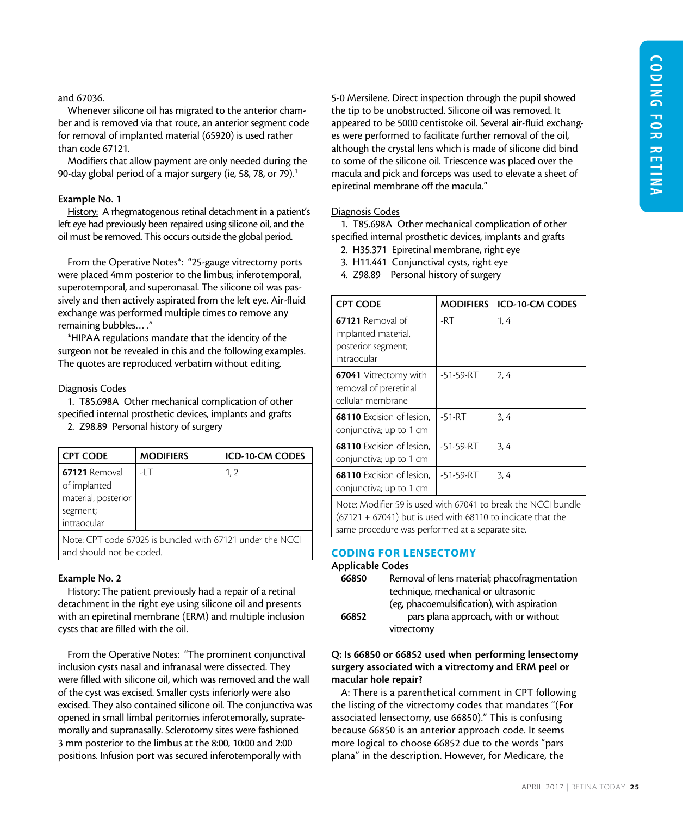#### and 67036.

Whenever silicone oil has migrated to the anterior chamber and is removed via that route, an anterior segment code for removal of implanted material (65920) is used rather than code 67121.

Modifiers that allow payment are only needed during the 90-day global period of a major surgery (ie, 58, 78, or 79).<sup>1</sup>

#### Example No. 1

History: A rhegmatogenous retinal detachment in a patient's left eye had previously been repaired using silicone oil, and the oil must be removed. This occurs outside the global period.

From the Operative Notes\*: "25-gauge vitrectomy ports were placed 4mm posterior to the limbus; inferotemporal, superotemporal, and superonasal. The silicone oil was passively and then actively aspirated from the left eye. Air-fluid exchange was performed multiple times to remove any remaining bubbles… ."

\*HIPAA regulations mandate that the identity of the surgeon not be revealed in this and the following examples. The quotes are reproduced verbatim without editing.

#### Diagnosis Codes

1. T85.698A Other mechanical complication of other specified internal prosthetic devices, implants and grafts

2. Z98.89 Personal history of surgery

| <b>CPT CODE</b>               | <b>MODIFIERS</b> | <b>ICD-10-CM CODES</b> |  |
|-------------------------------|------------------|------------------------|--|
| 67121 Removal<br>of implanted | $-1$ T           | 1, 2                   |  |
| material, posterior           |                  |                        |  |
| segment;                      |                  |                        |  |
| intraocular                   |                  |                        |  |
| .                             |                  |                        |  |

Note: CPT code 67025 is bundled with 67121 under the NCCI and should not be coded.

# Example No. 2

History: The patient previously had a repair of a retinal detachment in the right eye using silicone oil and presents with an epiretinal membrane (ERM) and multiple inclusion cysts that are filled with the oil.

From the Operative Notes: "The prominent conjunctival inclusion cysts nasal and infranasal were dissected. They were filled with silicone oil, which was removed and the wall of the cyst was excised. Smaller cysts inferiorly were also excised. They also contained silicone oil. The conjunctiva was opened in small limbal peritomies inferotemorally, supratemorally and supranasally. Sclerotomy sites were fashioned 3 mm posterior to the limbus at the 8:00, 10:00 and 2:00 positions. Infusion port was secured inferotemporally with

5-0 Mersilene. Direct inspection through the pupil showed the tip to be unobstructed. Silicone oil was removed. It appeared to be 5000 centistoke oil. Several air-fluid exchanges were performed to facilitate further removal of the oil, although the crystal lens which is made of silicone did bind to some of the silicone oil. Triescence was placed over the macula and pick and forceps was used to elevate a sheet of epiretinal membrane off the macula."

# Diagnosis Codes

1. T85.698A Other mechanical complication of other specified internal prosthetic devices, implants and grafts

- 2. H35.371 Epiretinal membrane, right eye
- 3. H11.441 Conjunctival cysts, right eye
- 4. Z98.89 Personal history of surgery

| <b>CPT CODE</b>                                                                                                                                                                    | <b>MODIFIERS</b> | <b>ICD-10-CM CODES</b> |
|------------------------------------------------------------------------------------------------------------------------------------------------------------------------------------|------------------|------------------------|
| <b>67121</b> Removal of<br>implanted material,<br>posterior segment;<br>intraocular                                                                                                | -RT              | 1, 4                   |
| <b>67041</b> Vitrectomy with<br>removal of preretinal<br>cellular membrane                                                                                                         | -51-59-RT        | 2.4                    |
| <b>68110</b> Excision of lesion.<br>conjunctiva; up to 1 cm                                                                                                                        | $-51 - RT$       | 3, 4                   |
| <b>68110</b> Excision of lesion,<br>conjunctiva; up to 1 cm                                                                                                                        | $-51 - 59 - RT$  | 3, 4                   |
| <b>68110</b> Excision of lesion.<br>conjunctiva; up to 1 cm                                                                                                                        | $-51 - 59 - RT$  | 3, 4                   |
| Note: Modifier 59 is used with 67041 to break the NCCI bundle<br>$(67121 + 67041)$ but is used with 68110 to indicate that the<br>same procedure was performed at a separate site. |                  |                        |

# CODING FOR LENSECTOMY

#### Applicable Codes

66850 Removal of lens material; phacofragmentation technique, mechanical or ultrasonic (eg, phacoemulsification), with aspiration 66852 pars plana approach, with or without vitrectomy

# Q: Is 66850 or 66852 used when performing lensectomy surgery associated with a vitrectomy and ERM peel or macular hole repair?

A: There is a parenthetical comment in CPT following the listing of the vitrectomy codes that mandates "(For associated lensectomy, use 66850)." This is confusing because 66850 is an anterior approach code. It seems more logical to choose 66852 due to the words "pars plana" in the description. However, for Medicare, the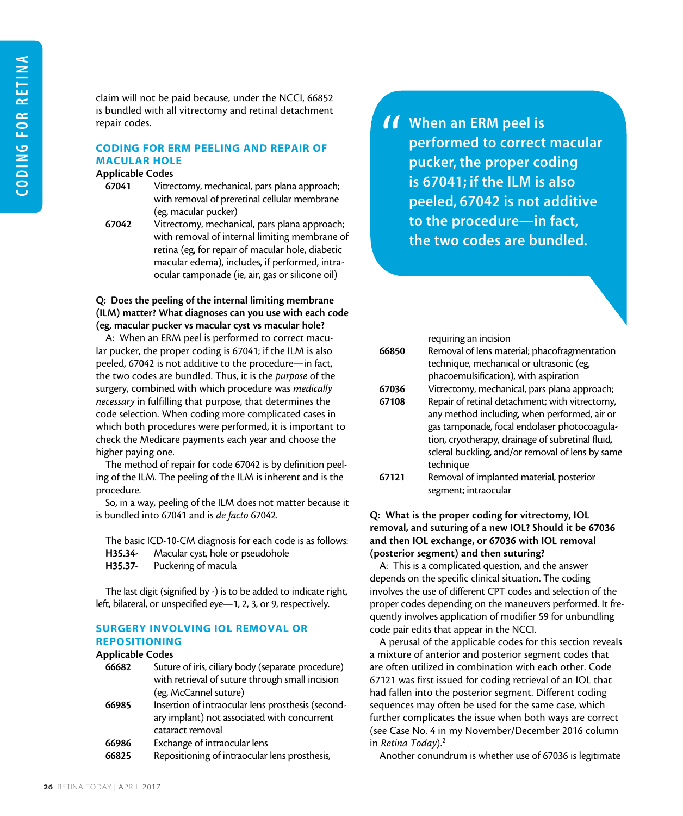claim will not be paid because, under the NCCI, 66852 is bundled with all vitrectomy and retinal detachment repair codes.

# CODING FOR ERM PEELING AND REPAIR OF MACULAR HOLE

#### Applicable Codes

- 67041 Vitrectomy, mechanical, pars plana approach; with removal of preretinal cellular membrane (eg, macular pucker)
- 

67042 Vitrectomy, mechanical, pars plana approach; with removal of internal limiting membrane of retina (eg, for repair of macular hole, diabetic macular edema), includes, if performed, intraocular tamponade (ie, air, gas or silicone oil)

# Q: Does the peeling of the internal limiting membrane (ILM) matter? What diagnoses can you use with each code (eg, macular pucker vs macular cyst vs macular hole?

A: When an ERM peel is performed to correct macular pucker, the proper coding is 67041; if the ILM is also peeled, 67042 is not additive to the procedure—in fact, the two codes are bundled. Thus, it is the *purpose* of the surgery, combined with which procedure was *medically necessary* in fulfilling that purpose, that determines the code selection. When coding more complicated cases in which both procedures were performed, it is important to check the Medicare payments each year and choose the higher paying one.

The method of repair for code 67042 is by definition peeling of the ILM. The peeling of the ILM is inherent and is the procedure.

So, in a way, peeling of the ILM does not matter because it is bundled into 67041 and is *de facto* 67042.

The basic ICD-10-CM diagnosis for each code is as follows:

| H35.34- | Macular cyst, hole or pseudohole |  |
|---------|----------------------------------|--|
|---------|----------------------------------|--|

H35.37- Puckering of macula

The last digit (signified by -) is to be added to indicate right, left, bilateral, or unspecified eye—1, 2, 3, or 9, respectively.

# SURGERY INVOLVING IOL REMOVAL OR REPOSITIONING

#### Applicable Codes

| 66682 | Suture of iris, ciliary body (separate procedure) |
|-------|---------------------------------------------------|
|       | with retrieval of suture through small incision   |
|       | (eg, McCannel suture)                             |
| 66985 | Insertion of intraocular lens prosthesis (second- |
|       | ary implant) not associated with concurrent       |
|       | cataract removal                                  |
| 66986 | Exchange of intraocular lens                      |
| ----- |                                                   |

66825 Repositioning of intraocular lens prosthesis,

**11** When an ERM peel is<br>performed to correct<br>pucker, the proper co performed to correct macular pucker, the proper coding is 67041; if the ILM is also peeled, 67042 is not additive to the procedure—in fact, the two codes are bundled.

|       | requiring an incision                            |
|-------|--------------------------------------------------|
| 66850 | Removal of lens material; phacofragmentation     |
|       | technique, mechanical or ultrasonic (eg,         |
|       | phacoemulsification), with aspiration            |
| 67036 | Vitrectomy, mechanical, pars plana approach;     |
| 67108 | Repair of retinal detachment; with vitrectomy,   |
|       | any method including, when performed, air or     |
|       | gas tamponade, focal endolaser photocoagula-     |
|       | tion, cryotherapy, drainage of subretinal fluid, |
|       | scleral buckling, and/or removal of lens by same |
|       | technique                                        |
| 67121 | Removal of implanted material, posterior         |
|       | segment; intraocular                             |

# Q: What is the proper coding for vitrectomy, IOL removal, and suturing of a new IOL? Should it be 67036 and then IOL exchange, or 67036 with IOL removal (posterior segment) and then suturing?

A: This is a complicated question, and the answer depends on the specific clinical situation. The coding involves the use of different CPT codes and selection of the proper codes depending on the maneuvers performed. It frequently involves application of modifier 59 for unbundling code pair edits that appear in the NCCI.

A perusal of the applicable codes for this section reveals a mixture of anterior and posterior segment codes that are often utilized in combination with each other. Code 67121 was first issued for coding retrieval of an IOL that had fallen into the posterior segment. Different coding sequences may often be used for the same case, which further complicates the issue when both ways are correct (see Case No. 4 in my November/December 2016 column in *Retina Today*).2

Another conundrum is whether use of 67036 is legitimate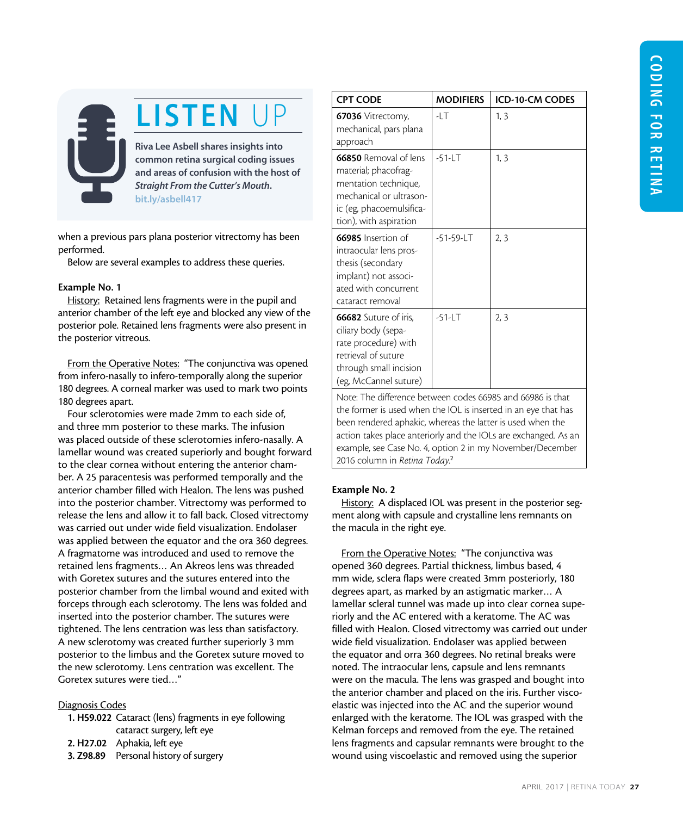# LISTEN UP

Riva Lee Asbell shares insights into common retina surgical coding issues and areas of confusion with the host of *Straight From the Cutter's Mouth*. [bit.ly/asbell417](http://bit.ly/asbell417) 

when a previous pars plana posterior vitrectomy has been performed.

Below are several examples to address these queries.

#### Example No. 1

History: Retained lens fragments were in the pupil and anterior chamber of the left eye and blocked any view of the posterior pole. Retained lens fragments were also present in the posterior vitreous.

From the Operative Notes: "The conjunctiva was opened from infero-nasally to infero-temporally along the superior 180 degrees. A corneal marker was used to mark two points 180 degrees apart.

Four sclerotomies were made 2mm to each side of, and three mm posterior to these marks. The infusion was placed outside of these sclerotomies infero-nasally. A lamellar wound was created superiorly and bought forward to the clear cornea without entering the anterior chamber. A 25 paracentesis was performed temporally and the anterior chamber filled with Healon. The lens was pushed into the posterior chamber. Vitrectomy was performed to release the lens and allow it to fall back. Closed vitrectomy was carried out under wide field visualization. Endolaser was applied between the equator and the ora 360 degrees. A fragmatome was introduced and used to remove the retained lens fragments… An Akreos lens was threaded with Goretex sutures and the sutures entered into the posterior chamber from the limbal wound and exited with forceps through each sclerotomy. The lens was folded and inserted into the posterior chamber. The sutures were tightened. The lens centration was less than satisfactory. A new sclerotomy was created further superiorly 3 mm posterior to the limbus and the Goretex suture moved to the new sclerotomy. Lens centration was excellent. The Goretex sutures were tied…"

#### Diagnosis Codes

- 1. H59.022 Cataract (lens) fragments in eye following cataract surgery, left eye
- 2. H27.02 Aphakia, left eye
- 3. Z98.89 Personal history of surgery

| <b>CPT CODE</b>                                                                                                                                        | <b>MODIFIERS</b> | <b>ICD-10-CM CODES</b> |
|--------------------------------------------------------------------------------------------------------------------------------------------------------|------------------|------------------------|
| <b>67036</b> Vitrectomy,<br>mechanical, pars plana<br>approach                                                                                         | -LT              | 1, 3                   |
| 66850 Removal of lens<br>material; phacofrag-<br>mentation technique,<br>mechanical or ultrason-<br>ic (eg, phacoemulsifica-<br>tion), with aspiration | $-51$ -LT        | 1, 3                   |
| 66985 Insertion of<br>intraocular lens pros-<br>thesis (secondary<br>implant) not associ-<br>ated with concurrent<br>cataract removal                  | -51-59-LT        | 2, 3                   |
| <b>66682</b> Suture of iris,<br>ciliary body (sepa-<br>rate procedure) with<br>retrieval of suture<br>through small incision<br>(eg, McCannel suture)  | $-51$ -LT        | 2, 3                   |
| Note: The difference between codes 66985 and 66986 is that                                                                                             |                  |                        |

the former is used when the IOL is inserted in an eye that has been rendered aphakic, whereas the latter is used when the action takes place anteriorly and the IOLs are exchanged. As an example, see Case No. 4, option 2 in my November/December 2016 column in *Retina Today*. 2

# Example No. 2

History: A displaced IOL was present in the posterior segment along with capsule and crystalline lens remnants on the macula in the right eye.

From the Operative Notes: "The conjunctiva was opened 360 degrees. Partial thickness, limbus based, 4 mm wide, sclera flaps were created 3mm posteriorly, 180 degrees apart, as marked by an astigmatic marker… A lamellar scleral tunnel was made up into clear cornea superiorly and the AC entered with a keratome. The AC was filled with Healon. Closed vitrectomy was carried out under wide field visualization. Endolaser was applied between the equator and orra 360 degrees. No retinal breaks were noted. The intraocular lens, capsule and lens remnants were on the macula. The lens was grasped and bought into the anterior chamber and placed on the iris. Further viscoelastic was injected into the AC and the superior wound enlarged with the keratome. The IOL was grasped with the Kelman forceps and removed from the eye. The retained lens fragments and capsular remnants were brought to the wound using viscoelastic and removed using the superior